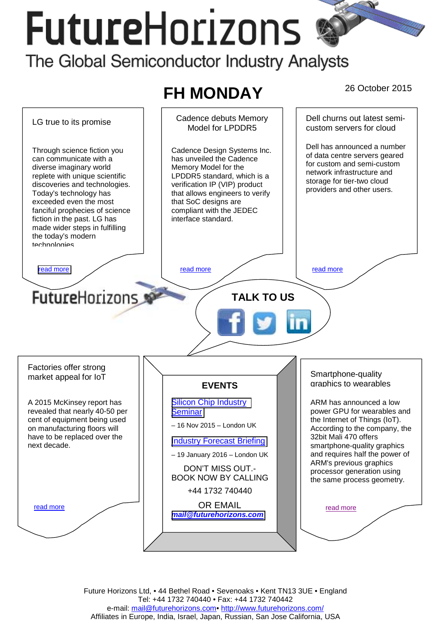# FutureHorizons



Future Horizons Ltd, • 44 Bethel Road • Sevenoaks • Kent TN13 3UE • England Tel: +44 1732 740440 • Fax: +44 1732 740442 e-mail: mail@futurehorizons.com• http://www.futurehorizons.com/ Affiliates in Europe, India, Israel, Japan, Russian, San Jose California, USA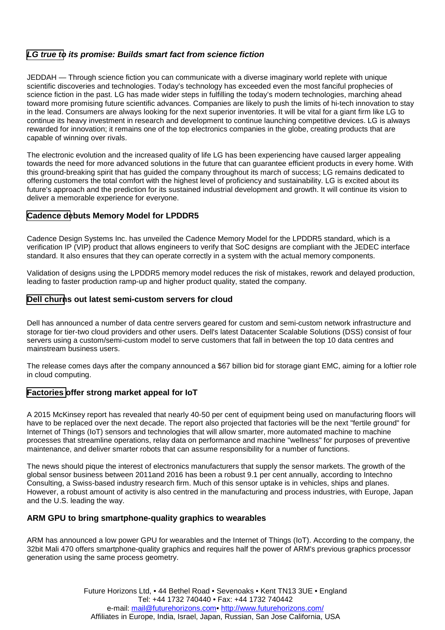# <span id="page-1-0"></span>*LG true to its promise: Builds smart fact from science fiction*

JEDDAH — Through science fiction you can communicate with a diverse imaginary world replete with unique scientific discoveries and technologies. Today's technology has exceeded even the most fanciful prophecies of science fiction in the past. LG has made wider steps in fulfilling the today's modern technologies, marching ahead toward more promising future scientific advances. Companies are likely to push the limits of hi-tech innovation to stay in the lead. Consumers are always looking for the next superior inventories. It will be vital for a giant firm like LG to continue its heavy investment in research and development to continue launching competitive devices. LG is always rewarded for innovation; it remains one of the top electronics companies in the globe, creating products that are capable of winning over rivals.

The electronic evolution and the increased quality of life LG has been experiencing have caused larger appealing towards the need for more advanced solutions in the future that can guarantee efficient products in every home. With this ground-breaking spirit that has guided the company throughout its march of success; LG remains dedicated to offering customers the total comfort with the highest level of proficiency and sustainability. LG is excited about its future's approach and the prediction for its sustained industrial development and growth. It will continue its vision to deliver a memorable experience for everyone.

### **Cadence debuts Memory Model for LPDDR5**

Cadence Design Systems Inc. has unveiled the Cadence Memory Model for the LPDDR5 standard, which is a verification IP (VIP) product that allows engineers to verify that SoC designs are compliant with the JEDEC interface standard. It also ensures that they can operate correctly in a system with the actual memory components.

Validation of designs using the LPDDR5 memory model reduces the risk of mistakes, rework and delayed production, leading to faster production ramp-up and higher product quality, stated the company.

#### **Dell churns out latest semi-custom servers for cloud**

Dell has announced a number of data centre servers geared for custom and semi-custom network infrastructure and storage for tier-two cloud providers and other users. Dell's latest Datacenter Scalable Solutions (DSS) consist of four servers using a custom/semi-custom model to serve customers that fall in between the top 10 data centres and mainstream business users.

The release comes days after the company announced a \$67 billion bid for storage giant EMC, aiming for a loftier role in cloud computing.

## **Factories offer strong market appeal for IoT**

A 2015 McKinsey report has revealed that nearly 40-50 per cent of equipment being used on manufacturing floors will have to be replaced over the next decade. The report also projected that factories will be the next "fertile ground" for Internet of Things (IoT) sensors and technologies that will allow smarter, more automated machine to machine processes that streamline operations, relay data on performance and machine "wellness" for purposes of preventive maintenance, and deliver smarter robots that can assume responsibility for a number of functions.

The news should pique the interest of electronics manufacturers that supply the sensor markets. The growth of the global sensor business between 2011and 2016 has been a robust 9.1 per cent annually, according to Intechno Consulting, a Swiss-based industry research firm. Much of this sensor uptake is in vehicles, ships and planes. However, a robust amount of activity is also centred in the manufacturing and process industries, with Europe, Japan and the U.S. leading the way.

#### **ARM GPU to bring smartphone-quality graphics to wearables**

ARM has announced a low power GPU for wearables and the Internet of Things (IoT). According to the company, the 32bit Mali 470 offers smartphone-quality graphics and requires half the power of ARM's previous graphics processor generation using the same process geometry.